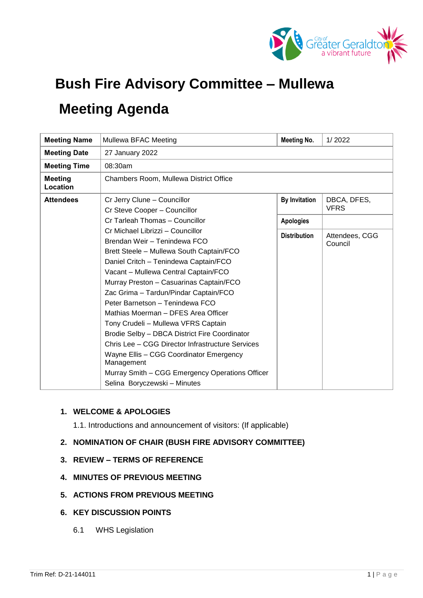

# **Bush Fire Advisory Committee – Mullewa Meeting Agenda**

| <b>Meeting Name</b>        | Mullewa BFAC Meeting                                                                                                                                                                                                                                                                                                                                                                                                                                                                                                                                                                                                                                | <b>Meeting No.</b>                       | 1/2022                     |
|----------------------------|-----------------------------------------------------------------------------------------------------------------------------------------------------------------------------------------------------------------------------------------------------------------------------------------------------------------------------------------------------------------------------------------------------------------------------------------------------------------------------------------------------------------------------------------------------------------------------------------------------------------------------------------------------|------------------------------------------|----------------------------|
| <b>Meeting Date</b>        | 27 January 2022                                                                                                                                                                                                                                                                                                                                                                                                                                                                                                                                                                                                                                     |                                          |                            |
| <b>Meeting Time</b>        | 08:30am                                                                                                                                                                                                                                                                                                                                                                                                                                                                                                                                                                                                                                             |                                          |                            |
| <b>Meeting</b><br>Location | Chambers Room, Mullewa District Office                                                                                                                                                                                                                                                                                                                                                                                                                                                                                                                                                                                                              |                                          |                            |
| <b>Attendees</b>           | Cr Jerry Clune - Councillor<br>Cr Steve Cooper - Councillor<br>Cr Tarleah Thomas - Councillor                                                                                                                                                                                                                                                                                                                                                                                                                                                                                                                                                       | <b>By Invitation</b><br><b>Apologies</b> | DBCA, DFES,<br><b>VFRS</b> |
|                            | Cr Michael Librizzi - Councillor<br>Brendan Weir - Tenindewa FCO<br>Brett Steele - Mullewa South Captain/FCO<br>Daniel Critch - Tenindewa Captain/FCO<br>Vacant - Mullewa Central Captain/FCO<br>Murray Preston - Casuarinas Captain/FCO<br>Zac Grima - Tardun/Pindar Captain/FCO<br>Peter Barnetson - Tenindewa FCO<br>Mathias Moerman - DFES Area Officer<br>Tony Crudeli - Mullewa VFRS Captain<br>Brodie Selby - DBCA District Fire Coordinator<br>Chris Lee - CGG Director Infrastructure Services<br>Wayne Ellis - CGG Coordinator Emergency<br>Management<br>Murray Smith - CGG Emergency Operations Officer<br>Selina Boryczewski - Minutes | <b>Distribution</b>                      | Attendees, CGG<br>Council  |

## **1. WELCOME & APOLOGIES**

1.1. Introductions and announcement of visitors: (If applicable)

# **2. NOMINATION OF CHAIR (BUSH FIRE ADVISORY COMMITTEE)**

- **3. REVIEW – TERMS OF REFERENCE**
- **4. MINUTES OF PREVIOUS MEETING**
- **5. ACTIONS FROM PREVIOUS MEETING**

#### **6. KEY DISCUSSION POINTS**

6.1 WHS Legislation